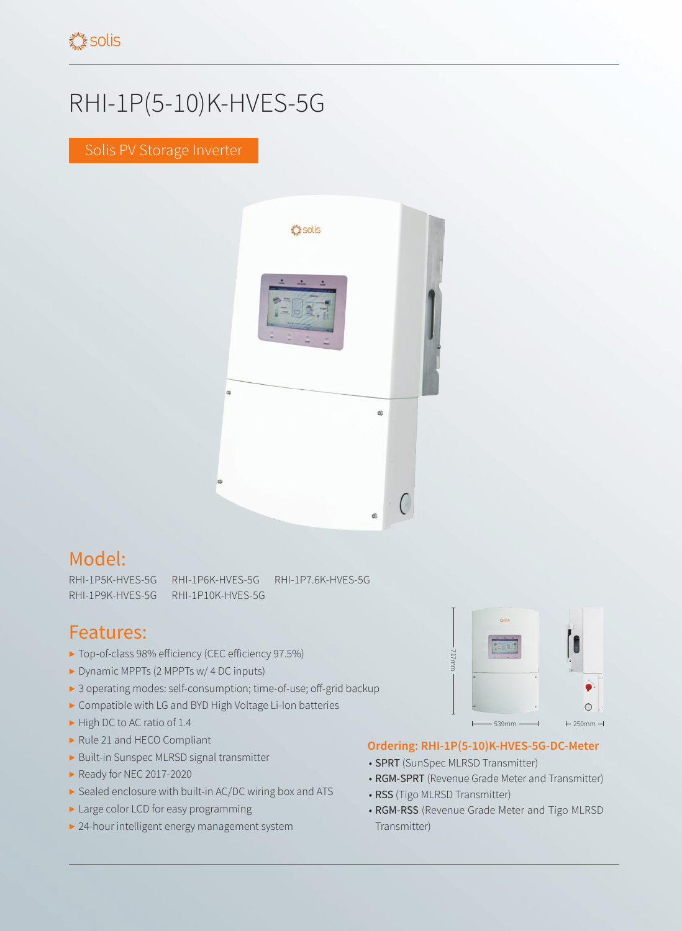## RHI-1P(5-10)K-HVES-5G

Solis PV Storage Inverter



## Model:

RHI-1P5K-HVES-5G RHI-1P6K-HVES-5G RHI-1P7.6K-HVES-5G RHI-1P9K-HVES-5G RHI-1P10K-HVES-5G

## Features:

- ▶ Top-of-class 98% efficiency (CEC efficiency 97.5%)
- ▶ Dynamic MPPTs (2 MPPTs w/ 4 DC inputs)
- ▶ 3 operating modes: self-consumption; time-of-use; off-grid backup
- ▶ Compatible with LG and BYD High Voltage Li-Ion batteries
- ▶ High DC to AC ratio of 1.4
- ▶ Rule 21 and HECO Compliant
- ▶ Built-in Sunspec MLRSD signal transmitter
- ▶ Ready for NEC 2017-2020
- ▶ Sealed enclosure with built-in AC/DC wiring box and ATS
- ▶ Large color LCD for easy programming
- ▶ 24-hour intelligent energy management system



## **Ordering: RHI-1P(5-10)K-HVES-5G-DC-Meter**

- SPRT (SunSpec MLRSD Transmitter)
- RGM-SPRT (Revenue Grade Meter and Transmitter)
- RSS (Tigo MLRSD Transmitter)
- RGM-RSS (Revenue Grade Meter and Tigo MLRSD Transmitter)